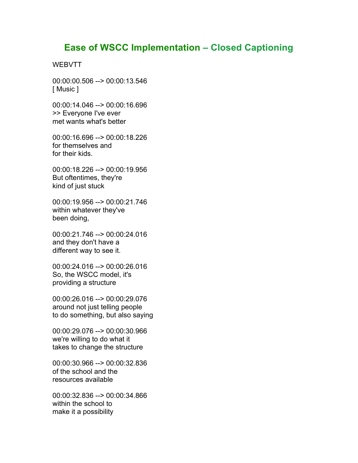## **Ease of WSCC Implementation – Closed Captioning**

## **WEBVTT**

00:00:00.506 --> 00:00:13.546 [ Music ]

00:00:14.046 --> 00:00:16.696 >> Everyone I've ever met wants what's better

00:00:16.696 --> 00:00:18.226 for themselves and for their kids.

00:00:18.226 --> 00:00:19.956 But oftentimes, they're kind of just stuck

00:00:19.956 --> 00:00:21.746 within whatever they've been doing,

00:00:21.746 --> 00:00:24.016 and they don't have a different way to see it.

00:00:24.016 --> 00:00:26.016 So, the WSCC model, it's providing a structure

00:00:26.016 --> 00:00:29.076 around not just telling people to do something, but also saying

00:00:29.076 --> 00:00:30.966 we're willing to do what it takes to change the structure

00:00:30.966 --> 00:00:32.836 of the school and the resources available

00:00:32.836 --> 00:00:34.866 within the school to make it a possibility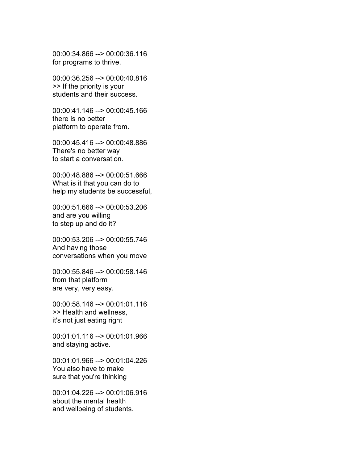00:00:34.866 --> 00:00:36.116 for programs to thrive.

00:00:36.256 --> 00:00:40.816 >> If the priority is your students and their success.

00:00:41.146 --> 00:00:45.166 there is no better platform to operate from.

00:00:45.416 --> 00:00:48.886 There's no better way to start a conversation.

00:00:48.886 --> 00:00:51.666 What is it that you can do to help my students be successful,

00:00:51.666 --> 00:00:53.206 and are you willing to step up and do it?

00:00:53.206 --> 00:00:55.746 And having those conversations when you move

00:00:55.846 --> 00:00:58.146 from that platform are very, very easy.

00:00:58.146 --> 00:01:01.116 >> Health and wellness, it's not just eating right

00:01:01.116 --> 00:01:01.966 and staying active.

00:01:01.966 --> 00:01:04.226 You also have to make sure that you're thinking

00:01:04.226 --> 00:01:06.916 about the mental health and wellbeing of students.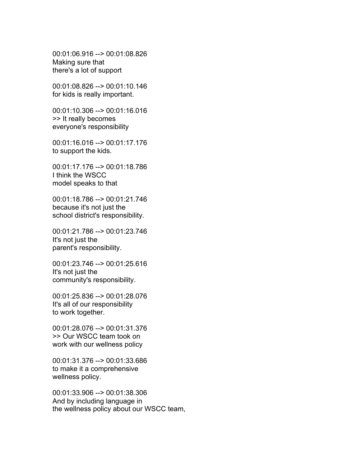00:01:06.916 --> 00:01:08.826 Making sure that there's a lot of support

00:01:08.826 --> 00:01:10.146 for kids is really important.

00:01:10.306 --> 00:01:16.016 >> It really becomes everyone's responsibility

00:01:16.016 --> 00:01:17.176 to support the kids.

00:01:17.176 --> 00:01:18.786 I think the WSCC model speaks to that

00:01:18.786 --> 00:01:21.746 because it's not just the school district's responsibility.

00:01:21.786 --> 00:01:23.746 It's not just the parent's responsibility.

00:01:23.746 --> 00:01:25.616 It's not just the community's responsibility.

00:01:25.836 --> 00:01:28.076 It's all of our responsibility to work together.

00:01:28.076 --> 00:01:31.376 >> Our WSCC team took on work with our wellness policy

00:01:31.376 --> 00:01:33.686 to make it a comprehensive wellness policy.

00:01:33.906 --> 00:01:38.306 And by including language in the wellness policy about our WSCC team,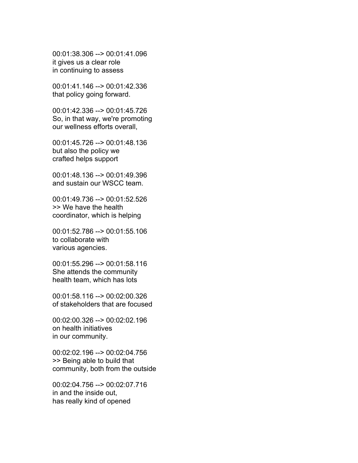00:01:38.306 --> 00:01:41.096 it gives us a clear role in continuing to assess

00:01:41.146 --> 00:01:42.336 that policy going forward.

00:01:42.336 --> 00:01:45.726 So, in that way, we're promoting our wellness efforts overall,

00:01:45.726 --> 00:01:48.136 but also the policy we crafted helps support

00:01:48.136 --> 00:01:49.396 and sustain our WSCC team.

00:01:49.736 --> 00:01:52.526 >> We have the health coordinator, which is helping

00:01:52.786 --> 00:01:55.106 to collaborate with various agencies.

00:01:55.296 --> 00:01:58.116 She attends the community health team, which has lots

00:01:58.116 --> 00:02:00.326 of stakeholders that are focused

00:02:00.326 --> 00:02:02.196 on health initiatives in our community.

00:02:02.196 --> 00:02:04.756 >> Being able to build that community, both from the outside

00:02:04.756 --> 00:02:07.716 in and the inside out, has really kind of opened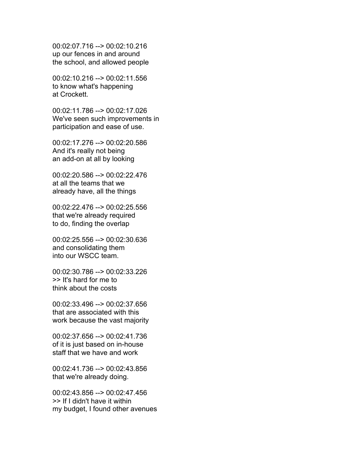00:02:07.716 --> 00:02:10.216 up our fences in and around the school, and allowed people

00:02:10.216 --> 00:02:11.556 to know what's happening at Crockett.

00:02:11.786 --> 00:02:17.026 We've seen such improvements in participation and ease of use.

00:02:17.276 --> 00:02:20.586 And it's really not being an add-on at all by looking

00:02:20.586 --> 00:02:22.476 at all the teams that we already have, all the things

00:02:22.476 --> 00:02:25.556 that we're already required to do, finding the overlap

00:02:25.556 --> 00:02:30.636 and consolidating them into our WSCC team.

00:02:30.786 --> 00:02:33.226 >> It's hard for me to think about the costs

00:02:33.496 --> 00:02:37.656 that are associated with this work because the vast majority

00:02:37.656 --> 00:02:41.736 of it is just based on in-house staff that we have and work

00:02:41.736 --> 00:02:43.856 that we're already doing.

00:02:43.856 --> 00:02:47.456 >> If I didn't have it within my budget, I found other avenues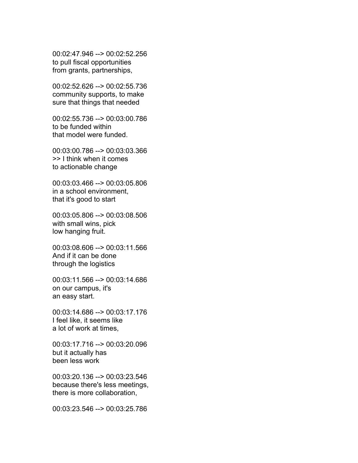00:02:47.946 --> 00:02:52.256 to pull fiscal opportunities from grants, partnerships,

00:02:52.626 --> 00:02:55.736 community supports, to make sure that things that needed

00:02:55.736 --> 00:03:00.786 to be funded within that model were funded.

00:03:00.786 --> 00:03:03.366 >> I think when it comes to actionable change

00:03:03.466 --> 00:03:05.806 in a school environment, that it's good to start

00:03:05.806 --> 00:03:08.506 with small wins, pick low hanging fruit.

00:03:08.606 --> 00:03:11.566 And if it can be done through the logistics

00:03:11.566 --> 00:03:14.686 on our campus, it's an easy start.

00:03:14.686 --> 00:03:17.176 I feel like, it seems like a lot of work at times,

00:03:17.716 --> 00:03:20.096 but it actually has been less work

00:03:20.136 --> 00:03:23.546 because there's less meetings, there is more collaboration,

00:03:23.546 --> 00:03:25.786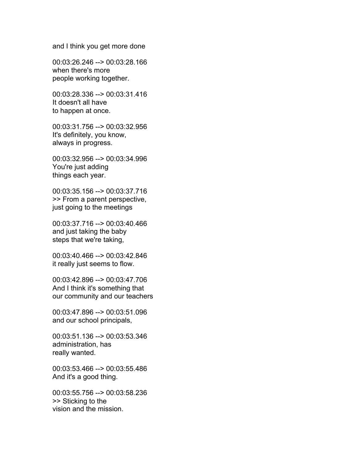and I think you get more done

00:03:26.246 --> 00:03:28.166 when there's more people working together.

00:03:28.336 --> 00:03:31.416 It doesn't all have to happen at once.

00:03:31.756 --> 00:03:32.956 It's definitely, you know, always in progress.

00:03:32.956 --> 00:03:34.996 You're just adding things each year.

00:03:35.156 --> 00:03:37.716 >> From a parent perspective, just going to the meetings

00:03:37.716 --> 00:03:40.466 and just taking the baby steps that we're taking,

00:03:40.466 --> 00:03:42.846 it really just seems to flow.

00:03:42.896 --> 00:03:47.706 And I think it's something that our community and our teachers

00:03:47.896 --> 00:03:51.096 and our school principals,

00:03:51.136 --> 00:03:53.346 administration, has really wanted.

00:03:53.466 --> 00:03:55.486 And it's a good thing.

00:03:55.756 --> 00:03:58.236 >> Sticking to the vision and the mission.